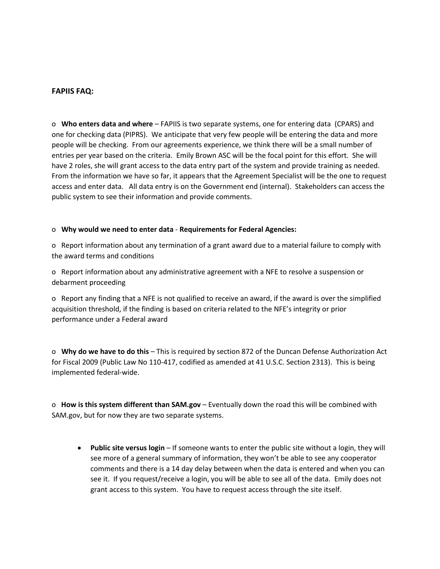## **FAPIIS FAQ:**

o **Who enters data and where** – FAPIIS is two separate systems, one for entering data (CPARS) and one for checking data (PIPRS). We anticipate that very few people will be entering the data and more people will be checking. From our agreements experience, we think there will be a small number of entries per year based on the criteria. Emily Brown ASC will be the focal point for this effort. She will have 2 roles, she will grant access to the data entry part of the system and provide training as needed. From the information we have so far, it appears that the Agreement Specialist will be the one to request access and enter data. All data entry is on the Government end (internal). Stakeholders can access the public system to see their information and provide comments.

## o **Why would we need to enter data** - **Requirements for Federal Agencies:**

o Report information about any termination of a grant award due to a material failure to comply with the award terms and conditions

o Report information about any administrative agreement with a NFE to resolve a suspension or debarment proceeding

o Report any finding that a NFE is not qualified to receive an award, if the award is over the simplified acquisition threshold, if the finding is based on criteria related to the NFE's integrity or prior performance under a Federal award

o **Why do we have to do this** – This is required by section 872 of the Duncan Defense Authorization Act for Fiscal 2009 (Public Law No 110-417, codified as amended at 41 U.S.C. Section 2313). This is being implemented federal-wide.

o **How is this system different than SAM.gov** – Eventually down the road this will be combined with SAM.gov, but for now they are two separate systems.

• **Public site versus login** – If someone wants to enter the public site without a login, they will see more of a general summary of information, they won't be able to see any cooperator comments and there is a 14 day delay between when the data is entered and when you can see it. If you request/receive a login, you will be able to see all of the data. Emily does not grant access to this system. You have to request access through the site itself.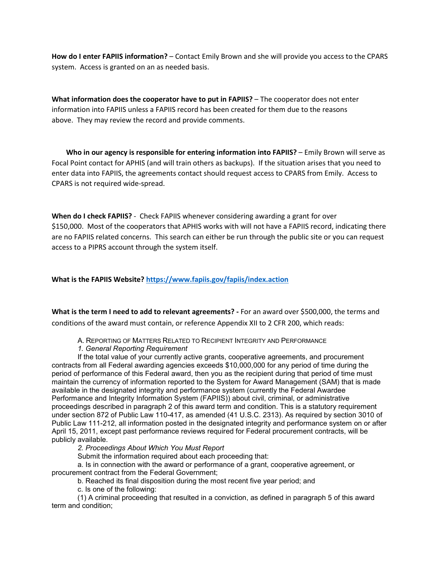**How do I enter FAPIIS information?** – Contact Emily Brown and she will provide you access to the CPARS system. Access is granted on an as needed basis.

**What information does the cooperator have to put in FAPIIS?** – The cooperator does not enter information into FAPIIS unless a FAPIIS record has been created for them due to the reasons above. They may review the record and provide comments.

 **Who in our agency is responsible for entering information into FAPIIS?** – Emily Brown will serve as Focal Point contact for APHIS (and will train others as backups). If the situation arises that you need to enter data into FAPIIS, the agreements contact should request access to CPARS from Emily. Access to CPARS is not required wide-spread.

**When do I check FAPIIS?** - Check FAPIIS whenever considering awarding a grant for over \$150,000. Most of the cooperators that APHIS works with will not have a FAPIIS record, indicating there are no FAPIIS related concerns. This search can either be run through the public site or you can request access to a PIPRS account through the system itself.

**What is the FAPIIS Website? <https://www.fapiis.gov/fapiis/index.action>**

**What is the term I need to add to relevant agreements? -** For an award over \$500,000, the terms and conditions of the award must contain, or reference Appendix XII to 2 CFR 200, which reads:

- A. REPORTING OF MATTERS RELATED TO RECIPIENT INTEGRITY AND PERFORMANCE
- *1. General Reporting Requirement*

If the total value of your currently active grants, cooperative agreements, and procurement contracts from all Federal awarding agencies exceeds \$10,000,000 for any period of time during the period of performance of this Federal award, then you as the recipient during that period of time must maintain the currency of information reported to the System for Award Management (SAM) that is made available in the designated integrity and performance system (currently the Federal Awardee Performance and Integrity Information System (FAPIIS)) about civil, criminal, or administrative proceedings described in paragraph 2 of this award term and condition. This is a statutory requirement under section 872 of Public Law 110-417, as amended (41 U.S.C. 2313). As required by section 3010 of Public Law 111-212, all information posted in the designated integrity and performance system on or after April 15, 2011, except past performance reviews required for Federal procurement contracts, will be publicly available.

*2. Proceedings About Which You Must Report*

Submit the information required about each proceeding that:

a. Is in connection with the award or performance of a grant, cooperative agreement, or procurement contract from the Federal Government;

b. Reached its final disposition during the most recent five year period; and

c. Is one of the following:

(1) A criminal proceeding that resulted in a conviction, as defined in paragraph 5 of this award term and condition;